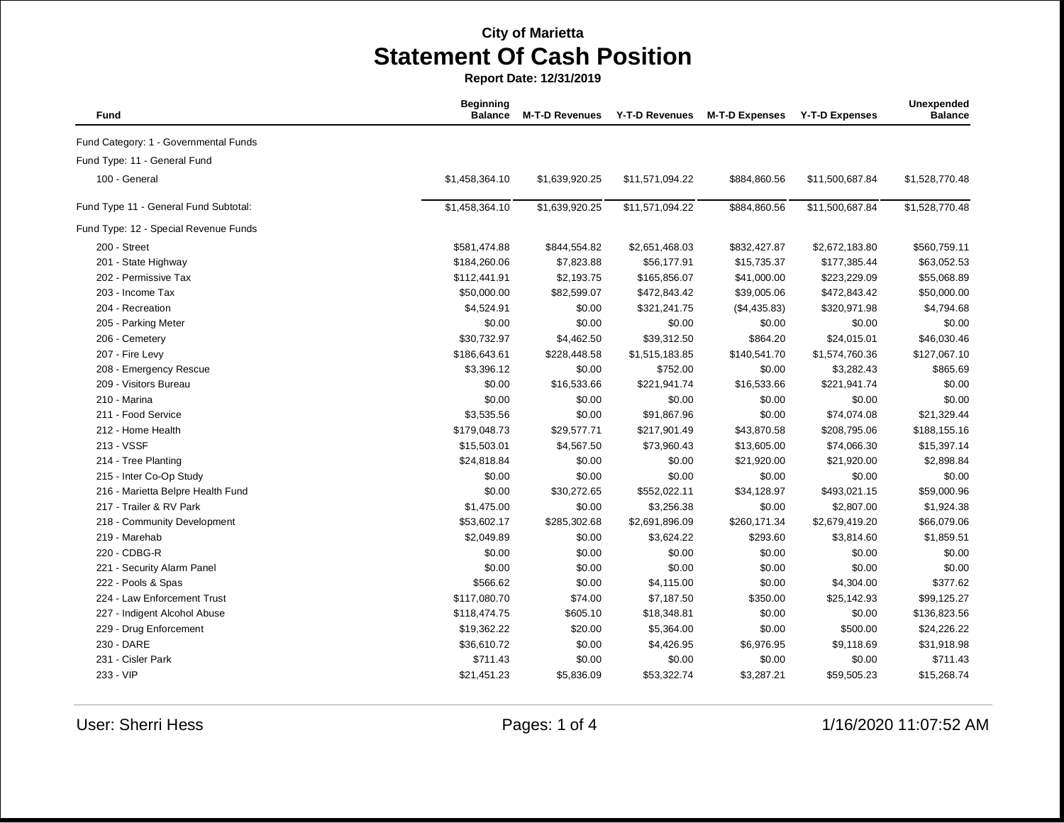| Fund                                  | <b>Beginning</b><br><b>Balance</b> | <b>M-T-D Revenues</b> | <b>Y-T-D Revenues</b> | <b>M-T-D Expenses</b> | <b>Y-T-D Expenses</b> | Unexpended<br><b>Balance</b> |
|---------------------------------------|------------------------------------|-----------------------|-----------------------|-----------------------|-----------------------|------------------------------|
| Fund Category: 1 - Governmental Funds |                                    |                       |                       |                       |                       |                              |
| Fund Type: 11 - General Fund          |                                    |                       |                       |                       |                       |                              |
| 100 - General                         | \$1,458,364.10                     | \$1,639,920.25        | \$11,571,094.22       | \$884,860.56          | \$11,500,687.84       | \$1,528,770.48               |
| Fund Type 11 - General Fund Subtotal: | \$1,458,364.10                     | \$1,639,920.25        | \$11,571,094.22       | \$884,860.56          | \$11,500,687.84       | \$1,528,770.48               |
| Fund Type: 12 - Special Revenue Funds |                                    |                       |                       |                       |                       |                              |
| 200 - Street                          | \$581,474.88                       | \$844,554.82          | \$2,651,468.03        | \$832,427.87          | \$2,672,183.80        | \$560,759.11                 |
| 201 - State Highway                   | \$184,260.06                       | \$7,823.88            | \$56,177.91           | \$15,735.37           | \$177,385.44          | \$63,052.53                  |
| 202 - Permissive Tax                  | \$112,441.91                       | \$2,193.75            | \$165,856.07          | \$41,000.00           | \$223,229.09          | \$55,068.89                  |
| 203 - Income Tax                      | \$50,000.00                        | \$82,599.07           | \$472,843.42          | \$39,005.06           | \$472,843.42          | \$50,000.00                  |
| 204 - Recreation                      | \$4,524.91                         | \$0.00                | \$321,241.75          | (\$4,435.83)          | \$320,971.98          | \$4,794.68                   |
| 205 - Parking Meter                   | \$0.00                             | \$0.00                | \$0.00                | \$0.00                | \$0.00                | \$0.00                       |
| 206 - Cemetery                        | \$30,732.97                        | \$4,462.50            | \$39,312.50           | \$864.20              | \$24,015.01           | \$46,030.46                  |
| 207 - Fire Levy                       | \$186,643.61                       | \$228,448.58          | \$1,515,183.85        | \$140,541.70          | \$1,574,760.36        | \$127,067.10                 |
| 208 - Emergency Rescue                | \$3,396.12                         | \$0.00                | \$752.00              | \$0.00                | \$3,282.43            | \$865.69                     |
| 209 - Visitors Bureau                 | \$0.00                             | \$16,533.66           | \$221,941.74          | \$16,533.66           | \$221,941.74          | \$0.00                       |
| 210 - Marina                          | \$0.00                             | \$0.00                | \$0.00                | \$0.00                | \$0.00                | \$0.00                       |
| 211 - Food Service                    | \$3,535.56                         | \$0.00                | \$91,867.96           | \$0.00                | \$74,074.08           | \$21,329.44                  |
| 212 - Home Health                     | \$179,048.73                       | \$29,577.71           | \$217,901.49          | \$43,870.58           | \$208,795.06          | \$188,155.16                 |
| 213 - VSSF                            | \$15,503.01                        | \$4,567.50            | \$73,960.43           | \$13,605.00           | \$74,066.30           | \$15,397.14                  |
| 214 - Tree Planting                   | \$24,818.84                        | \$0.00                | \$0.00                | \$21,920.00           | \$21,920.00           | \$2,898.84                   |
| 215 - Inter Co-Op Study               | \$0.00                             | \$0.00                | \$0.00                | \$0.00                | \$0.00                | \$0.00                       |
| 216 - Marietta Belpre Health Fund     | \$0.00                             | \$30,272.65           | \$552,022.11          | \$34,128.97           | \$493,021.15          | \$59,000.96                  |
| 217 - Trailer & RV Park               | \$1,475.00                         | \$0.00                | \$3,256.38            | \$0.00                | \$2,807.00            | \$1,924.38                   |
| 218 - Community Development           | \$53,602.17                        | \$285,302.68          | \$2,691,896.09        | \$260,171.34          | \$2,679,419.20        | \$66,079.06                  |
| 219 - Marehab                         | \$2,049.89                         | \$0.00                | \$3,624.22            | \$293.60              | \$3,814.60            | \$1,859.51                   |
| 220 - CDBG-R                          | \$0.00                             | \$0.00                | \$0.00                | \$0.00                | \$0.00                | \$0.00                       |
| 221 - Security Alarm Panel            | \$0.00                             | \$0.00                | \$0.00                | \$0.00                | \$0.00                | \$0.00                       |
| 222 - Pools & Spas                    | \$566.62                           | \$0.00                | \$4,115.00            | \$0.00                | \$4,304.00            | \$377.62                     |
| 224 - Law Enforcement Trust           | \$117,080.70                       | \$74.00               | \$7,187.50            | \$350.00              | \$25,142.93           | \$99,125.27                  |
| 227 - Indigent Alcohol Abuse          | \$118,474.75                       | \$605.10              | \$18,348.81           | \$0.00                | \$0.00                | \$136,823.56                 |
| 229 - Drug Enforcement                | \$19,362.22                        | \$20.00               | \$5,364.00            | \$0.00                | \$500.00              | \$24,226.22                  |
| 230 - DARE                            | \$36,610.72                        | \$0.00                | \$4,426.95            | \$6,976.95            | \$9,118.69            | \$31,918.98                  |
| 231 - Cisler Park                     | \$711.43                           | \$0.00                | \$0.00                | \$0.00                | \$0.00                | \$711.43                     |
| 233 - VIP                             | \$21,451.23                        | \$5,836.09            | \$53,322.74           | \$3,287.21            | \$59,505.23           | \$15,268.74                  |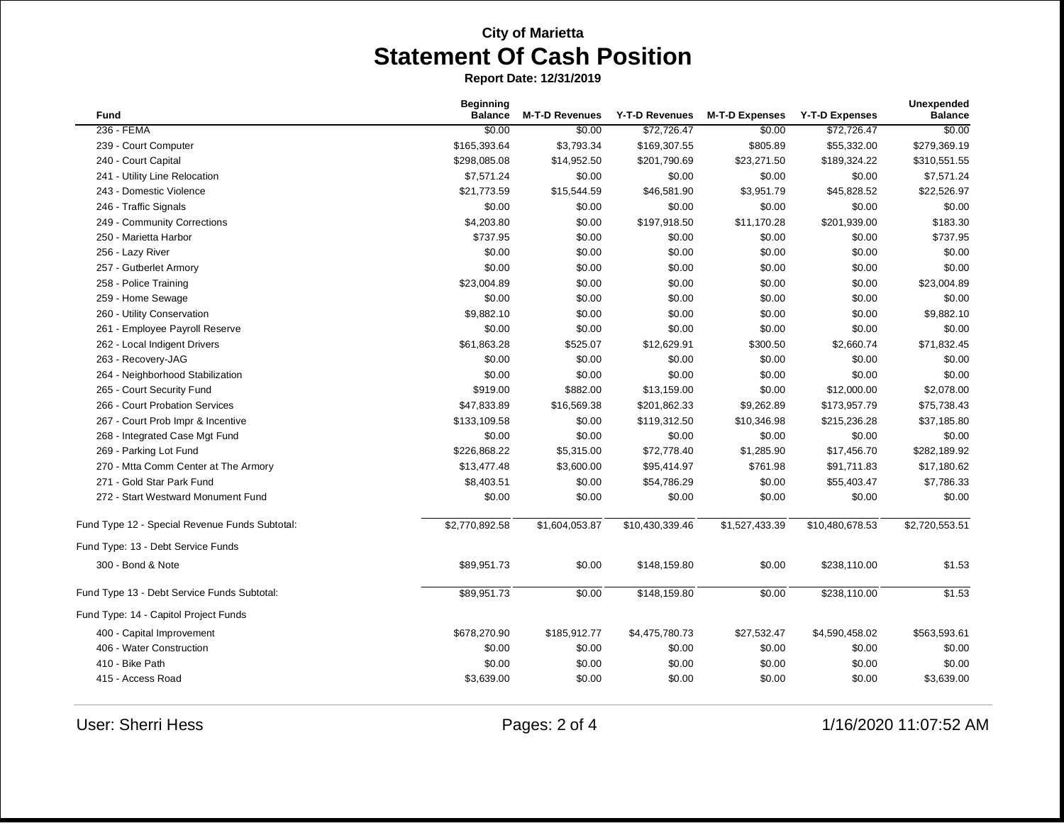| <b>Fund</b>                                    | <b>Beginning</b><br><b>Balance</b> | <b>M-T-D Revenues</b> | Y-T-D Revenues           | <b>M-T-D Expenses</b> | <b>Y-T-D Expenses</b> | Unexpended<br><b>Balance</b> |
|------------------------------------------------|------------------------------------|-----------------------|--------------------------|-----------------------|-----------------------|------------------------------|
| 236 - FEMA                                     | \$0.00                             | \$0.00                | \$72,726.47              | \$0.00                | \$72,726.47           | \$0.00                       |
| 239 - Court Computer                           | \$165,393.64                       | \$3,793.34            | \$169,307.55             | \$805.89              | \$55,332.00           | \$279,369.19                 |
| 240 - Court Capital                            | \$298,085.08                       | \$14,952.50           | \$201,790.69             | \$23,271.50           | \$189,324.22          | \$310,551.55                 |
| 241 - Utility Line Relocation                  | \$7,571.24                         | \$0.00                | \$0.00                   | \$0.00                | \$0.00                | \$7,571.24                   |
| 243 - Domestic Violence                        | \$21,773.59                        | \$15,544.59           | \$46,581.90              | \$3,951.79            | \$45,828.52           | \$22,526.97                  |
| 246 - Traffic Signals                          | \$0.00                             | \$0.00                | \$0.00                   | \$0.00                | \$0.00                | \$0.00                       |
| 249 - Community Corrections                    | \$4,203.80                         | \$0.00                | \$197,918.50             | \$11,170.28           | \$201,939.00          | \$183.30                     |
| 250 - Marietta Harbor                          | \$737.95                           | \$0.00                | \$0.00                   | \$0.00                | \$0.00                | \$737.95                     |
| 256 - Lazy River                               | \$0.00                             | \$0.00                | \$0.00                   | \$0.00                | \$0.00                | \$0.00                       |
| 257 - Gutberlet Armory                         | \$0.00                             | \$0.00                | \$0.00                   | \$0.00                | \$0.00                | \$0.00                       |
| 258 - Police Training                          | \$23,004.89                        | \$0.00                | \$0.00                   | \$0.00                | \$0.00                | \$23,004.89                  |
| 259 - Home Sewage                              | \$0.00                             | \$0.00                | \$0.00                   | \$0.00                | \$0.00                | \$0.00                       |
| 260 - Utility Conservation                     | \$9,882.10                         | \$0.00                | \$0.00                   | \$0.00                | \$0.00                | \$9,882.10                   |
| 261 - Employee Payroll Reserve                 | \$0.00                             | \$0.00                | \$0.00                   | \$0.00                | \$0.00                | \$0.00                       |
| 262 - Local Indigent Drivers                   | \$61,863.28                        | \$525.07              | \$12,629.91              | \$300.50              | \$2,660.74            | \$71,832.45                  |
| 263 - Recovery-JAG                             | \$0.00                             | \$0.00                | \$0.00                   | \$0.00                | \$0.00                | \$0.00                       |
| 264 - Neighborhood Stabilization               | \$0.00                             | \$0.00                | \$0.00                   | \$0.00                | \$0.00                | \$0.00                       |
| 265 - Court Security Fund                      | \$919.00                           | \$882.00              | \$13,159.00              | \$0.00                | \$12,000.00           | \$2,078.00                   |
| 266 - Court Probation Services                 | \$47,833.89                        | \$16,569.38           | \$201,862.33             | \$9,262.89            | \$173,957.79          | \$75,738.43                  |
| 267 - Court Prob Impr & Incentive              | \$133,109.58                       | \$0.00                | \$119,312.50             | \$10,346.98           | \$215,236.28          | \$37,185.80                  |
| 268 - Integrated Case Mgt Fund                 | \$0.00                             | \$0.00                | \$0.00                   | \$0.00                | \$0.00                | \$0.00                       |
| 269 - Parking Lot Fund                         | \$226,868.22                       | \$5,315.00            | \$72,778.40              | \$1,285.90            | \$17,456.70           | \$282,189.92                 |
| 270 - Mtta Comm Center at The Armory           | \$13,477.48                        | \$3,600.00            | \$95,414.97              | \$761.98              | \$91,711.83           | \$17,180.62                  |
| 271 - Gold Star Park Fund                      | \$8,403.51                         | \$0.00                | \$54,786.29              | \$0.00                | \$55,403.47           | \$7,786.33                   |
| 272 - Start Westward Monument Fund             | \$0.00                             | \$0.00                | \$0.00                   | \$0.00                | \$0.00                | \$0.00                       |
| Fund Type 12 - Special Revenue Funds Subtotal: | \$2,770,892.58                     | \$1,604,053.87        | \$10,430,339.46          | \$1,527,433.39        | \$10,480,678.53       | \$2,720,553.51               |
| Fund Type: 13 - Debt Service Funds             |                                    |                       |                          |                       |                       |                              |
| 300 - Bond & Note                              | \$89,951.73                        | \$0.00                | \$148,159.80             | \$0.00                | \$238,110.00          | \$1.53                       |
| Fund Type 13 - Debt Service Funds Subtotal:    | \$89,951.73                        | \$0.00                | $\overline{$148,159.80}$ | \$0.00                | \$238,110.00          | \$1.53                       |
| Fund Type: 14 - Capitol Project Funds          |                                    |                       |                          |                       |                       |                              |
| 400 - Capital Improvement                      | \$678,270.90                       | \$185,912.77          | \$4,475,780.73           | \$27,532.47           | \$4,590,458.02        | \$563,593.61                 |
| 406 - Water Construction                       | \$0.00                             | \$0.00                | \$0.00                   | \$0.00                | \$0.00                | \$0.00                       |
| 410 - Bike Path                                | \$0.00                             | \$0.00                | \$0.00                   | \$0.00                | \$0.00                | \$0.00                       |
| 415 - Access Road                              | \$3,639.00                         | \$0.00                | \$0.00                   | \$0.00                | \$0.00                | \$3,639.00                   |
|                                                |                                    |                       |                          |                       |                       |                              |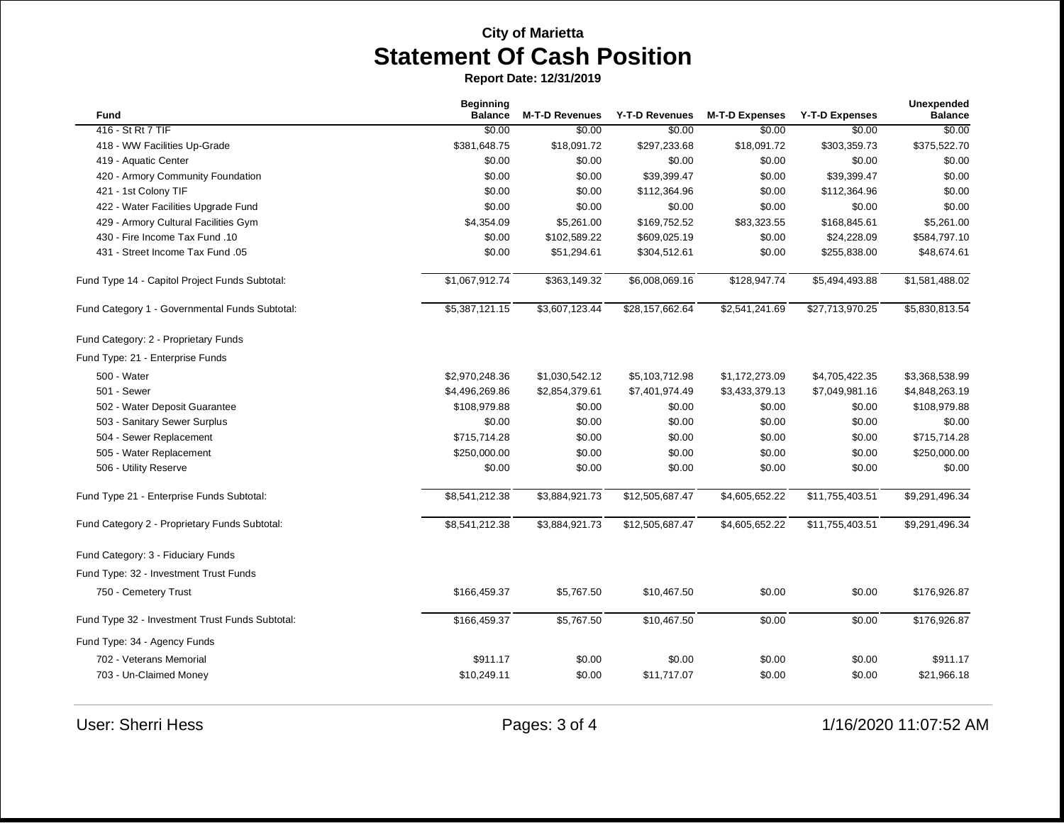| Fund                                            | <b>Beginning</b><br><b>Balance</b> | <b>M-T-D Revenues</b> | <b>Y-T-D Revenues</b> | <b>M-T-D Expenses</b> | <b>Y-T-D Expenses</b> | Unexpended<br><b>Balance</b> |
|-------------------------------------------------|------------------------------------|-----------------------|-----------------------|-----------------------|-----------------------|------------------------------|
| 416 - St Rt 7 TIF                               | \$0.00                             | \$0.00                | \$0.00                | \$0.00                | \$0.00                | \$0.00                       |
| 418 - WW Facilities Up-Grade                    | \$381,648.75                       | \$18,091.72           | \$297,233.68          | \$18,091.72           | \$303,359.73          | \$375,522.70                 |
| 419 - Aquatic Center                            | \$0.00                             | \$0.00                | \$0.00                | \$0.00                | \$0.00                | \$0.00                       |
| 420 - Armory Community Foundation               | \$0.00                             | \$0.00                | \$39,399.47           | \$0.00                | \$39,399.47           | \$0.00                       |
| 421 - 1st Colony TIF                            | \$0.00                             | \$0.00                | \$112,364.96          | \$0.00                | \$112,364.96          | \$0.00                       |
| 422 - Water Facilities Upgrade Fund             | \$0.00                             | \$0.00                | \$0.00                | \$0.00                | \$0.00                | \$0.00                       |
| 429 - Armory Cultural Facilities Gym            | \$4,354.09                         | \$5,261.00            | \$169,752.52          | \$83,323.55           | \$168,845.61          | \$5,261.00                   |
| 430 - Fire Income Tax Fund .10                  | \$0.00                             | \$102,589.22          | \$609,025.19          | \$0.00                | \$24,228.09           | \$584,797.10                 |
| 431 - Street Income Tax Fund .05                | \$0.00                             | \$51,294.61           | \$304,512.61          | \$0.00                | \$255,838.00          | \$48,674.61                  |
| Fund Type 14 - Capitol Project Funds Subtotal:  | \$1,067,912.74                     | \$363,149.32          | \$6,008,069.16        | \$128,947.74          | \$5,494,493.88        | \$1,581,488.02               |
| Fund Category 1 - Governmental Funds Subtotal:  | \$5,387,121.15                     | \$3,607,123.44        | \$28,157,662.64       | \$2,541,241.69        | \$27,713,970.25       | \$5,830,813.54               |
| Fund Category: 2 - Proprietary Funds            |                                    |                       |                       |                       |                       |                              |
| Fund Type: 21 - Enterprise Funds                |                                    |                       |                       |                       |                       |                              |
| 500 - Water                                     | \$2,970,248.36                     | \$1,030,542.12        | \$5,103,712.98        | \$1,172,273.09        | \$4,705,422.35        | \$3,368,538.99               |
| 501 - Sewer                                     | \$4,496,269.86                     | \$2,854,379.61        | \$7,401,974.49        | \$3,433,379.13        | \$7,049,981.16        | \$4,848,263.19               |
| 502 - Water Deposit Guarantee                   | \$108,979.88                       | \$0.00                | \$0.00                | \$0.00                | \$0.00                | \$108,979.88                 |
| 503 - Sanitary Sewer Surplus                    | \$0.00                             | \$0.00                | \$0.00                | \$0.00                | \$0.00                | \$0.00                       |
| 504 - Sewer Replacement                         | \$715,714.28                       | \$0.00                | \$0.00                | \$0.00                | \$0.00                | \$715,714.28                 |
| 505 - Water Replacement                         | \$250,000.00                       | \$0.00                | \$0.00                | \$0.00                | \$0.00                | \$250,000.00                 |
| 506 - Utility Reserve                           | \$0.00                             | \$0.00                | \$0.00                | \$0.00                | \$0.00                | \$0.00                       |
| Fund Type 21 - Enterprise Funds Subtotal:       | \$8,541,212.38                     | \$3,884,921.73        | \$12,505,687.47       | \$4,605,652.22        | \$11,755,403.51       | \$9,291,496.34               |
| Fund Category 2 - Proprietary Funds Subtotal:   | \$8,541,212.38                     | \$3,884,921.73        | \$12,505,687.47       | \$4,605,652.22        | \$11,755,403.51       | \$9,291,496.34               |
| Fund Category: 3 - Fiduciary Funds              |                                    |                       |                       |                       |                       |                              |
| Fund Type: 32 - Investment Trust Funds          |                                    |                       |                       |                       |                       |                              |
| 750 - Cemetery Trust                            | \$166,459.37                       | \$5,767.50            | \$10,467.50           | \$0.00                | \$0.00                | \$176,926.87                 |
| Fund Type 32 - Investment Trust Funds Subtotal: | \$166,459.37                       | \$5,767.50            | \$10,467.50           | \$0.00                | \$0.00                | \$176,926.87                 |
| Fund Type: 34 - Agency Funds                    |                                    |                       |                       |                       |                       |                              |
| 702 - Veterans Memorial                         | \$911.17                           | \$0.00                | \$0.00                | \$0.00                | \$0.00                | \$911.17                     |
| 703 - Un-Claimed Money                          | \$10,249.11                        | \$0.00                | \$11,717.07           | \$0.00                | \$0.00                | \$21,966.18                  |